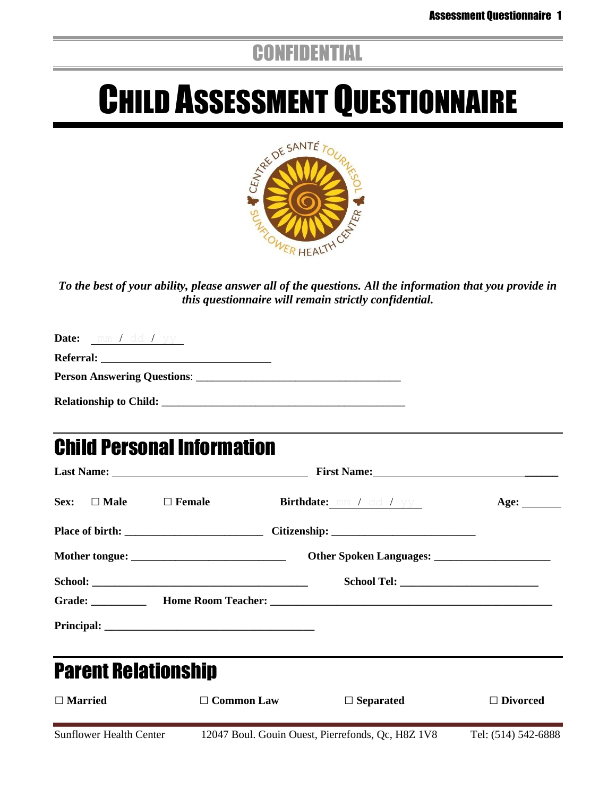## **CONFIDENTIAL**

# **CHILD ASSESSMENT QUESTIONNAIRE**



*To the best of your ability, please answer all of the questions. All the information that you provide in this questionnaire will remain strictly confidential.*

| <b>Referral:</b> The contract of the contract of the contract of the contract of the contract of the contract of the contract of the contract of the contract of the contract of the contract of the contract of the contract of th |  |  |
|-------------------------------------------------------------------------------------------------------------------------------------------------------------------------------------------------------------------------------------|--|--|
|                                                                                                                                                                                                                                     |  |  |
| <b>Relationship to Child:</b>                                                                                                                                                                                                       |  |  |

## Child Personal Information

|                                |                             | First Name:                    |                                   |
|--------------------------------|-----------------------------|--------------------------------|-----------------------------------|
| Sex: $\Box$ Male $\Box$ Female |                             | <b>Birthdate:</b> mm / dd / yy | Age: $\_\_\_\_\_\_\_\_\_\_\_\_\_$ |
|                                |                             |                                |                                   |
|                                |                             |                                |                                   |
|                                |                             |                                |                                   |
|                                |                             |                                |                                   |
|                                |                             |                                |                                   |
| <b>Parent Relationship</b>     |                             |                                |                                   |
| $\Box$ Married                 | <b>Common Law</b><br>$\Box$ | $\Box$ Separated               | $\Box$ Divorced                   |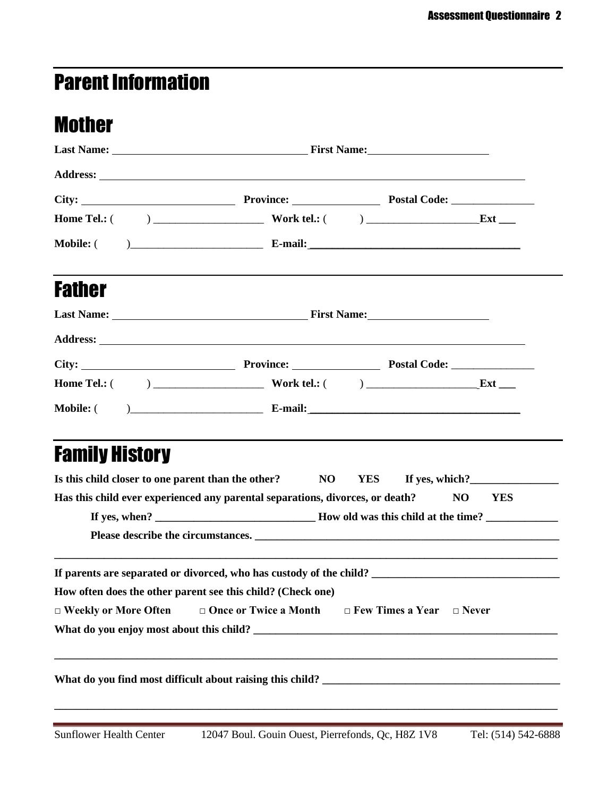# Parent Information

## Mother

| <b>Father</b>         |                                                                                                                                                              |                                        |  |  |  |  |  |  |
|-----------------------|--------------------------------------------------------------------------------------------------------------------------------------------------------------|----------------------------------------|--|--|--|--|--|--|
|                       |                                                                                                                                                              |                                        |  |  |  |  |  |  |
|                       |                                                                                                                                                              |                                        |  |  |  |  |  |  |
|                       |                                                                                                                                                              |                                        |  |  |  |  |  |  |
|                       |                                                                                                                                                              |                                        |  |  |  |  |  |  |
|                       |                                                                                                                                                              |                                        |  |  |  |  |  |  |
| <b>Family History</b> | Is this child closer to one parent than the other? NO<br>Has this child ever experienced any parental separations, divorces, or death?                       | If yes, which?<br><b>YES</b><br>NO YES |  |  |  |  |  |  |
|                       |                                                                                                                                                              |                                        |  |  |  |  |  |  |
|                       | How often does the other parent see this child? (Check one)<br>$\Box$ Weekly or More Often $\Box$ Once or Twice a Month $\Box$ Few Times a Year $\Box$ Never |                                        |  |  |  |  |  |  |
|                       |                                                                                                                                                              |                                        |  |  |  |  |  |  |
|                       |                                                                                                                                                              |                                        |  |  |  |  |  |  |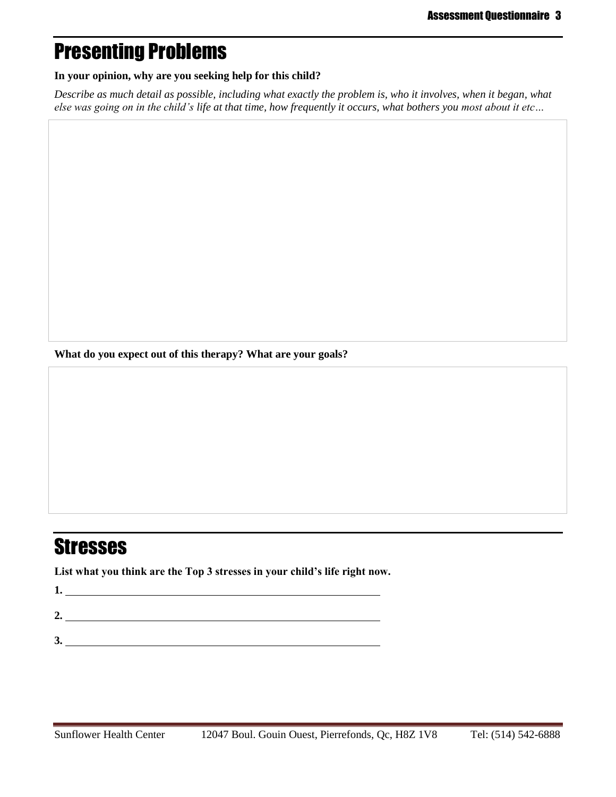## Presenting Problems

#### **In your opinion, why are you seeking help for this child?**

*Describe as much detail as possible, including what exactly the problem is, who it involves, when it began, what else was going on in the child's life at that time, how frequently it occurs, what bothers you most about it etc…*

**What do you expect out of this therapy? What are your goals?**

# **Stresses**

**List what you think are the Top 3 stresses in your child's life right now.**

**1. 2. 3.**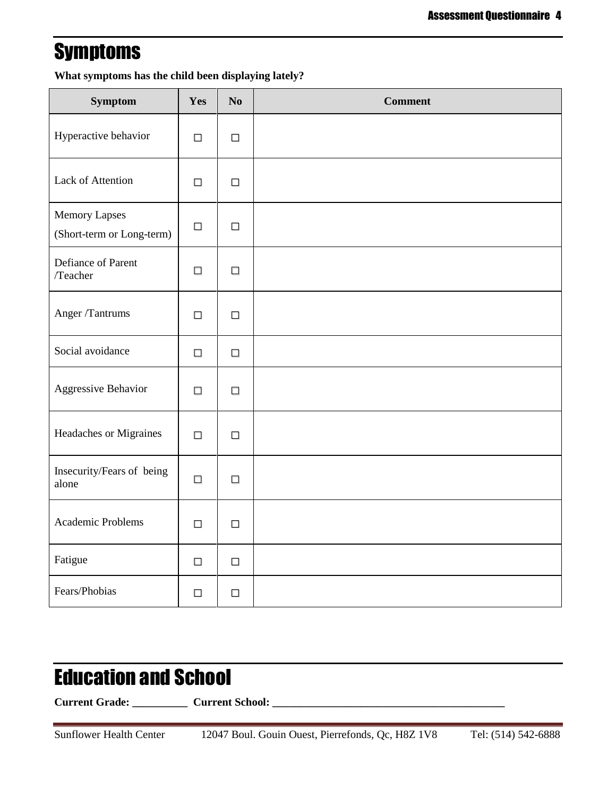## **Symptoms**

**What symptoms has the child been displaying lately?**

| <b>Symptom</b>                                    | Yes    | $\mathbf{N}\mathbf{o}$ | <b>Comment</b> |
|---------------------------------------------------|--------|------------------------|----------------|
| Hyperactive behavior                              | $\Box$ | $\Box$                 |                |
| Lack of Attention                                 | $\Box$ | $\Box$                 |                |
| <b>Memory Lapses</b><br>(Short-term or Long-term) | $\Box$ | $\Box$                 |                |
| Defiance of Parent<br>/Teacher                    | $\Box$ | $\Box$                 |                |
| Anger /Tantrums                                   | $\Box$ | $\Box$                 |                |
| Social avoidance                                  | $\Box$ | $\Box$                 |                |
| Aggressive Behavior                               | $\Box$ | $\Box$                 |                |
| Headaches or Migraines                            | $\Box$ | $\Box$                 |                |
| Insecurity/Fears of being<br>alone                | $\Box$ | $\Box$                 |                |
| Academic Problems                                 | $\Box$ | $\Box$                 |                |
| Fatigue                                           | $\Box$ | $\Box$                 |                |
| Fears/Phobias                                     | $\Box$ | $\Box$                 |                |

# Education and School

**Current Grade: \_\_\_\_\_\_\_\_\_\_ Current School: \_\_\_\_\_\_\_\_\_\_\_\_\_\_\_\_\_\_\_\_\_\_\_\_\_\_\_\_\_\_\_\_\_\_\_\_\_\_\_\_\_\_**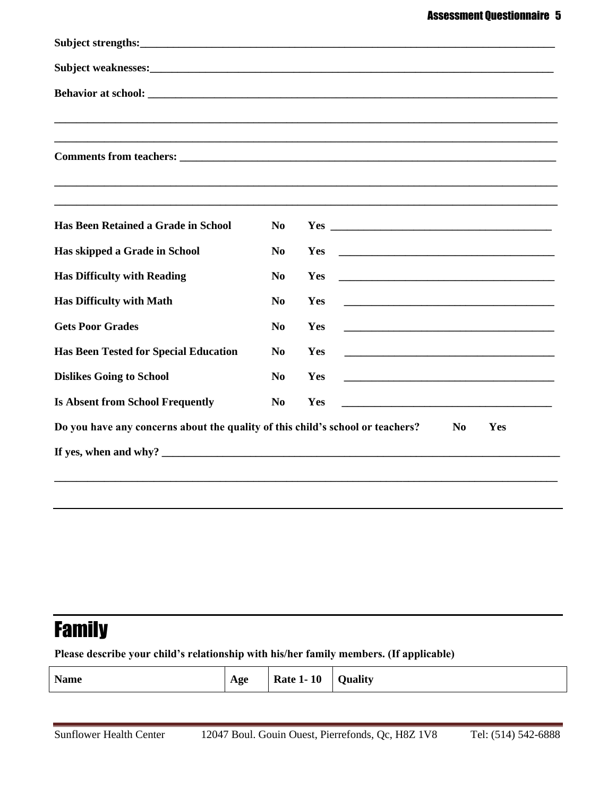| Has Been Retained a Grade in School                                                                                                                                                                                                                                              | N <sub>0</sub> |                                                             |
|----------------------------------------------------------------------------------------------------------------------------------------------------------------------------------------------------------------------------------------------------------------------------------|----------------|-------------------------------------------------------------|
| Has skipped a Grade in School                                                                                                                                                                                                                                                    | N <sub>0</sub> | Yes                                                         |
| <b>Has Difficulty with Reading</b>                                                                                                                                                                                                                                               | N <sub>0</sub> | Yes                                                         |
| <b>Has Difficulty with Math</b>                                                                                                                                                                                                                                                  | N <sub>0</sub> | Yes<br><u> 2008 - Jan Barnett, fransk politik (d. 1888)</u> |
| <b>Gets Poor Grades</b>                                                                                                                                                                                                                                                          | N <sub>0</sub> | Yes                                                         |
| <b>Has Been Tested for Special Education</b>                                                                                                                                                                                                                                     | N <sub>0</sub> | Yes                                                         |
| <b>Dislikes Going to School</b>                                                                                                                                                                                                                                                  | N <sub>0</sub> | Yes                                                         |
| <b>Is Absent from School Frequently</b>                                                                                                                                                                                                                                          | N <sub>0</sub> | Yes                                                         |
| Do you have any concerns about the quality of this child's school or teachers?                                                                                                                                                                                                   |                | N <sub>0</sub><br>Yes                                       |
| If yes, when and why? $\sqrt{2}$ and $\sqrt{2}$ and $\sqrt{2}$ and $\sqrt{2}$ and $\sqrt{2}$ and $\sqrt{2}$ and $\sqrt{2}$ and $\sqrt{2}$ and $\sqrt{2}$ and $\sqrt{2}$ and $\sqrt{2}$ and $\sqrt{2}$ and $\sqrt{2}$ and $\sqrt{2}$ and $\sqrt{2}$ and $\sqrt{2}$ and $\sqrt{2}$ |                |                                                             |
|                                                                                                                                                                                                                                                                                  |                |                                                             |

# Family

**Please describe your child's relationship with his/her family members. (If applicable)**

| <b>Name</b><br><b>Rate 1-10</b><br><b>Quality</b><br>Age |  |  |  |  |
|----------------------------------------------------------|--|--|--|--|
|----------------------------------------------------------|--|--|--|--|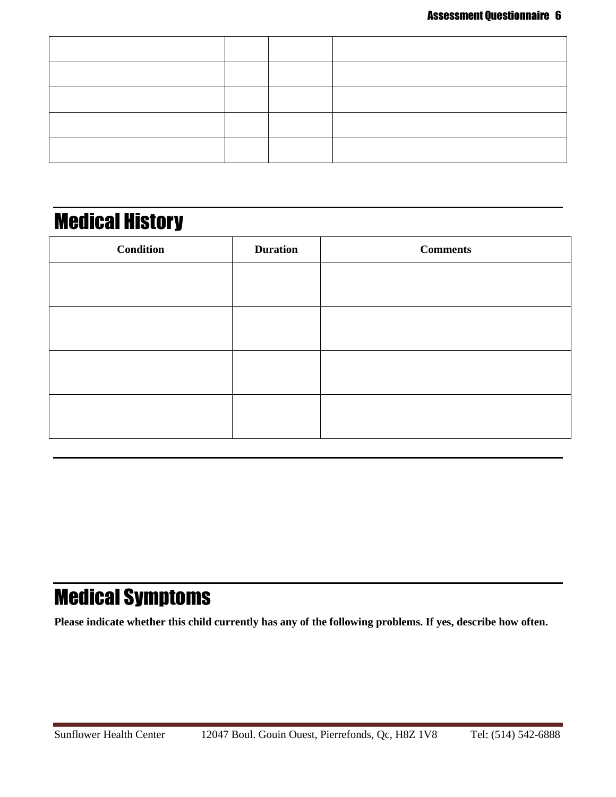## Medical History

| <b>Condition</b> | <b>Duration</b> | <b>Comments</b> |
|------------------|-----------------|-----------------|
|                  |                 |                 |
|                  |                 |                 |
|                  |                 |                 |
|                  |                 |                 |
|                  |                 |                 |
|                  |                 |                 |
|                  |                 |                 |
|                  |                 |                 |

## Medical Symptoms

**Please indicate whether this child currently has any of the following problems. If yes, describe how often.**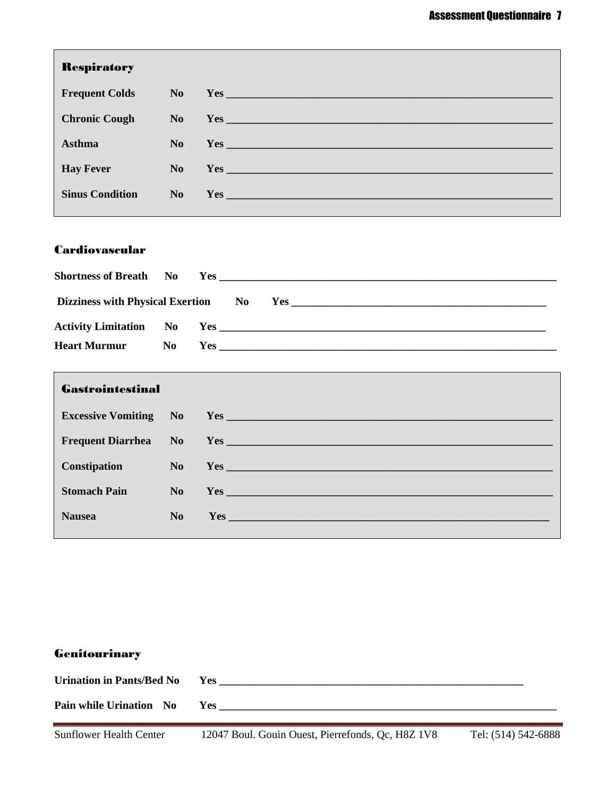| <b>Respiratory</b>     |           |                                                                                                                                                                                                                                      |
|------------------------|-----------|--------------------------------------------------------------------------------------------------------------------------------------------------------------------------------------------------------------------------------------|
| <b>Frequent Colds</b>  |           | $No$ $Yes$                                                                                                                                                                                                                           |
| <b>Chronic Cough</b>   |           | No Yes <u>and the second contract of the second contract of the second contract of the second contract of the second contract of the second contract of the second contract of the second contract of the second contract of the</u> |
| <b>Asthma</b>          | $\bf{No}$ |                                                                                                                                                                                                                                      |
| <b>Hay Fever</b>       |           | No Yes <u>examed a series of the series of the series of the series of the series of the series of the series of the series of the series of the series of the series of the series of the series of the series of the series of</u> |
| <b>Sinus Condition</b> |           | $No$ $Yes$                                                                                                                                                                                                                           |

### Cardiovascular

| Dizziness with Physical Exertion No |    |  |  |  |  |  |
|-------------------------------------|----|--|--|--|--|--|
|                                     |    |  |  |  |  |  |
| <b>Heart Murmur</b>                 | No |  |  |  |  |  |

| <b>Gastrointestinal</b> |                                                                |
|-------------------------|----------------------------------------------------------------|
|                         |                                                                |
|                         |                                                                |
|                         | <b>Constipation</b> No Yes <u>Constitution</u> No Yes No. 2014 |
| <b>Stomach Pain</b>     | $No$ $Yes$ $\overline{\phantom{a}}$                            |
| <b>Nausea</b>           |                                                                |
|                         |                                                                |

## **Genitourinary**

| <b>Urination in Pants/Bed No</b> | Yes        |
|----------------------------------|------------|
| Pain while Urination No          | <b>Yes</b> |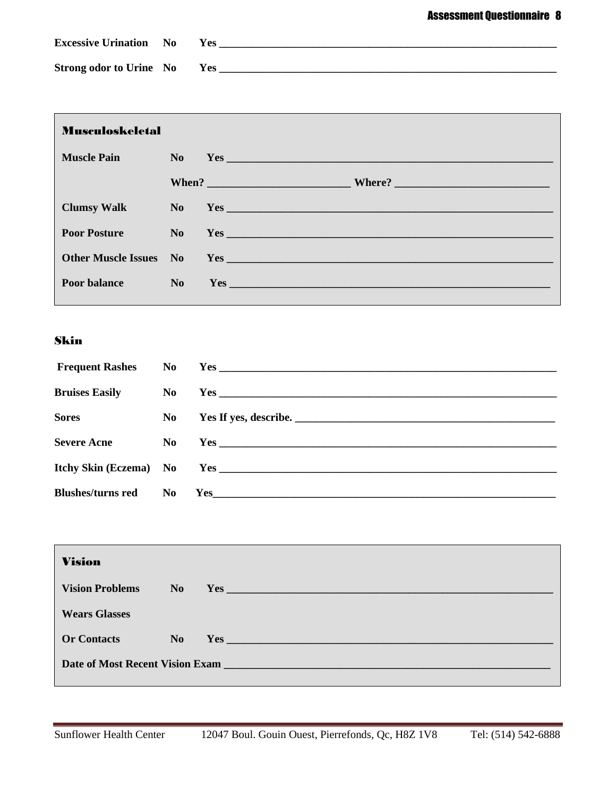| <b>Excessive Urination</b> No  | Yes: |
|--------------------------------|------|
| <b>Strong odor to Urine</b> No | Yes  |

| <b>Musculoskeletal</b> |                |                                                                                                                                                                                                                                |
|------------------------|----------------|--------------------------------------------------------------------------------------------------------------------------------------------------------------------------------------------------------------------------------|
| <b>Muscle Pain</b>     | $\bf No$       | Yes and the same state of the same state of the same state of the same state of the same state of the same state of the same state of the same state of the same state of the same state of the same state of the same state o |
|                        |                |                                                                                                                                                                                                                                |
| <b>Clumsy Walk</b>     |                | No Yes                                                                                                                                                                                                                         |
| <b>Poor Posture</b>    | $\bf No$       |                                                                                                                                                                                                                                |
|                        |                | Other Muscle Issues No Yes No Yes                                                                                                                                                                                              |
| <b>Poor balance</b>    | N <sub>o</sub> | Yes                                                                                                                                                                                                                            |

## Skin

| <b>Bruises Easily</b>    |     |                          |
|--------------------------|-----|--------------------------|
| <b>Sores</b>             |     | No Yes If yes, describe. |
|                          |     |                          |
| <b>Severe Acne</b>       |     |                          |
|                          |     |                          |
|                          |     |                          |
| <b>Blushes/turns red</b> | No. |                          |

| <b>Vision</b>          |      |                                 |
|------------------------|------|---------------------------------|
| <b>Vision Problems</b> | No 1 | Yes                             |
| <b>Wears Glasses</b>   |      |                                 |
| <b>Or Contacts</b>     |      | No Yes                          |
|                        |      | Date of Most Recent Vision Exam |
|                        |      |                                 |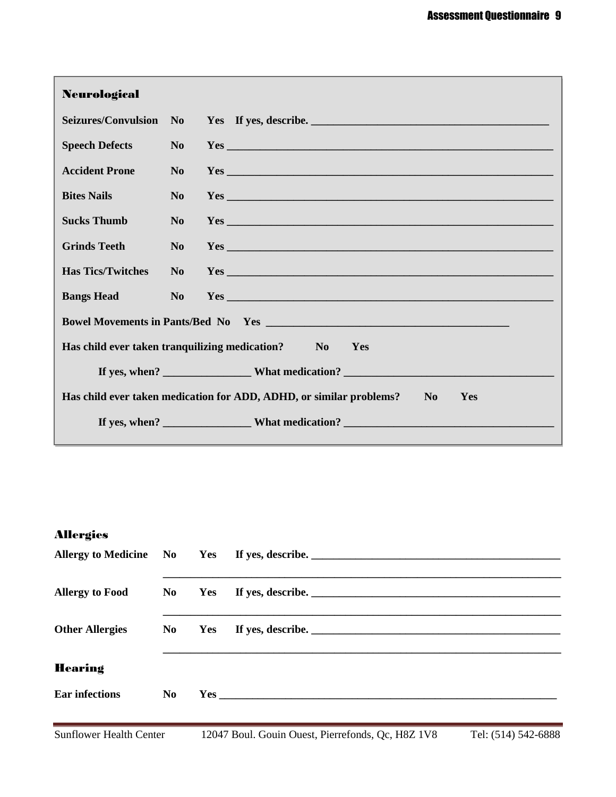| <b>Neurological</b>                                                                     |                |                                                          |  |  |  |  |  |
|-----------------------------------------------------------------------------------------|----------------|----------------------------------------------------------|--|--|--|--|--|
|                                                                                         |                | Seizures/Convulsion No Yes If yes, describe.             |  |  |  |  |  |
| <b>Speech Defects</b>                                                                   | N <sub>0</sub> |                                                          |  |  |  |  |  |
| <b>Accident Prone</b>                                                                   | N <sub>0</sub> |                                                          |  |  |  |  |  |
| <b>Bites Nails</b>                                                                      | N <sub>0</sub> |                                                          |  |  |  |  |  |
| <b>Sucks Thumb</b>                                                                      | N <sub>o</sub> |                                                          |  |  |  |  |  |
| <b>Grinds Teeth</b>                                                                     | N <sub>o</sub> |                                                          |  |  |  |  |  |
| <b>Has Tics/Twitches</b>                                                                | $\bf No$       |                                                          |  |  |  |  |  |
| <b>Bangs Head</b><br><u>a Tanzania</u>                                                  | $\bf No$       |                                                          |  |  |  |  |  |
|                                                                                         |                |                                                          |  |  |  |  |  |
|                                                                                         |                | Has child ever taken tranquilizing medication? No<br>Yes |  |  |  |  |  |
|                                                                                         |                |                                                          |  |  |  |  |  |
| Has child ever taken medication for ADD, ADHD, or similar problems?<br>$\bf{No}$<br>Yes |                |                                                          |  |  |  |  |  |
|                                                                                         |                | If yes, when? What medication?                           |  |  |  |  |  |

## Allergies

|                        |    |        | Allergy to Medicine No Yes If yes, describe. |
|------------------------|----|--------|----------------------------------------------|
| <b>Allergy to Food</b> |    | No Yes |                                              |
| <b>Other Allergies</b> |    | No Yes |                                              |
| <b>Hearing</b>         |    |        |                                              |
| <b>Ear infections</b>  | No |        |                                              |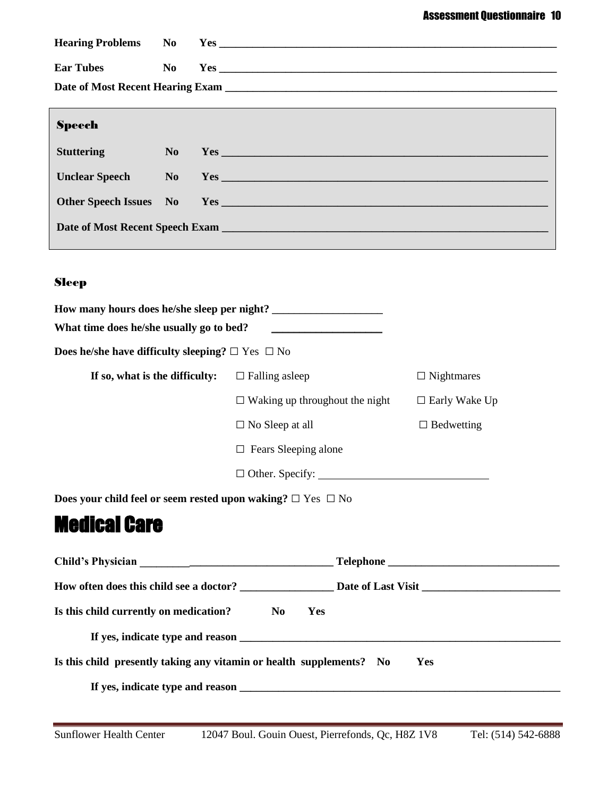|                   |                | <b>Hearing Problems No. Yes</b>                                                                                                                                                                                                |
|-------------------|----------------|--------------------------------------------------------------------------------------------------------------------------------------------------------------------------------------------------------------------------------|
|                   |                |                                                                                                                                                                                                                                |
| <b>Ear Tubes</b>  | N <sub>0</sub> |                                                                                                                                                                                                                                |
|                   |                |                                                                                                                                                                                                                                |
|                   |                |                                                                                                                                                                                                                                |
| <b>Speech</b>     |                |                                                                                                                                                                                                                                |
| <b>Stuttering</b> | N <sub>0</sub> |                                                                                                                                                                                                                                |
| Unclear Speech No |                | Yes contract the contract of the contract of the contract of the contract of the contract of the contract of the contract of the contract of the contract of the contract of the contract of the contract of the contract of t |
|                   |                |                                                                                                                                                                                                                                |
|                   |                | Date of Most Recent Speech Exam                                                                                                                                                                                                |

## Sleep

| How many hours does he/she sleep per night?                       |                                       |                                           |  |  |  |  |  |
|-------------------------------------------------------------------|---------------------------------------|-------------------------------------------|--|--|--|--|--|
| What time does he/she usually go to bed?                          |                                       |                                           |  |  |  |  |  |
| <b>Does he/she have difficulty sleeping?</b> $\Box$ Yes $\Box$ No |                                       |                                           |  |  |  |  |  |
| If so, what is the difficulty:                                    | $\Box$ Falling as leep                | $\Box$ Nightmares                         |  |  |  |  |  |
|                                                                   | $\Box$ Waking up throughout the night | $\Box$ Early Wake Up<br>$\Box$ Bedwetting |  |  |  |  |  |
|                                                                   | $\Box$ No Sleep at all                |                                           |  |  |  |  |  |
|                                                                   | Fears Sleeping alone                  |                                           |  |  |  |  |  |
| $\Box$ Other. Specify:                                            |                                       |                                           |  |  |  |  |  |
|                                                                   |                                       |                                           |  |  |  |  |  |

**Does your child feel or seem rested upon waking? □** Yes **□** No

## Medical Care

| Is this child currently on medication?                               | $\mathbf{N_0}$ | Yes |     |  |
|----------------------------------------------------------------------|----------------|-----|-----|--|
|                                                                      |                |     |     |  |
| Is this child presently taking any vitamin or health supplements? No |                |     | Yes |  |
|                                                                      |                |     |     |  |
|                                                                      |                |     |     |  |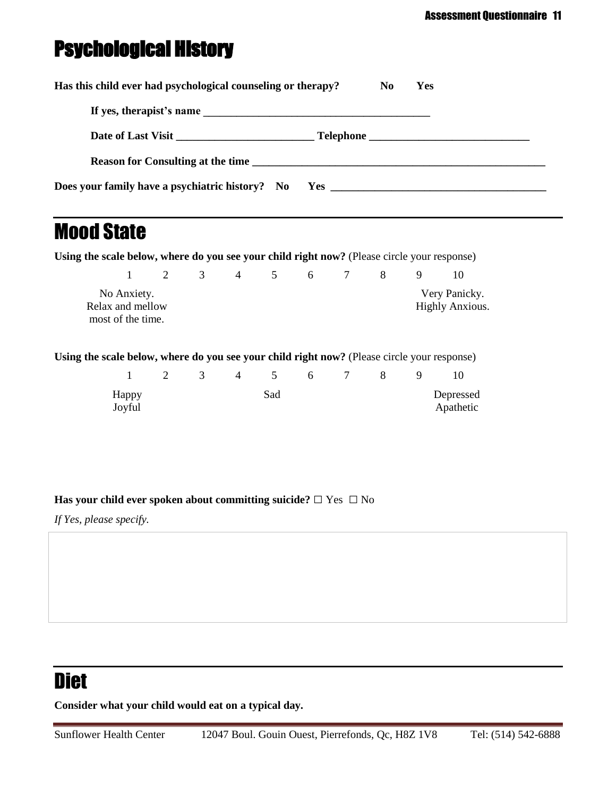# Psychological History

| Has this child ever had psychological counseling or therapy? | No. | Yes |  |
|--------------------------------------------------------------|-----|-----|--|
|                                                              |     |     |  |
|                                                              |     |     |  |
| <b>Reason for Consulting at the time</b>                     |     |     |  |
|                                                              |     |     |  |

## Mood State

**Using the scale below, where do you see your child right now?** (Please circle your response)

|                                                      | $2^{\circ}$ | $\mathcal{R}$ | 4 | $\sim$ 5 | 6 |  |                                         |
|------------------------------------------------------|-------------|---------------|---|----------|---|--|-----------------------------------------|
| No Anxiety.<br>Relax and mellow<br>most of the time. |             |               |   |          |   |  | Very Panicky.<br><b>Highly Anxious.</b> |

**Using the scale below, where do you see your child right now?** (Please circle your response)

|                 | $\overline{2}$ | $\overline{\mathbf{3}}$ | 4 5 6 7 |  | 8 <sup>8</sup> | - 9 |                        |
|-----------------|----------------|-------------------------|---------|--|----------------|-----|------------------------|
| Happy<br>Joyful |                |                         | Sad     |  |                |     | Depressed<br>Apathetic |

#### **Has your child ever spoken about committing suicide? □** Yes **□** No

*If Yes, please specify.*

## **Diet**

**Consider what your child would eat on a typical day.**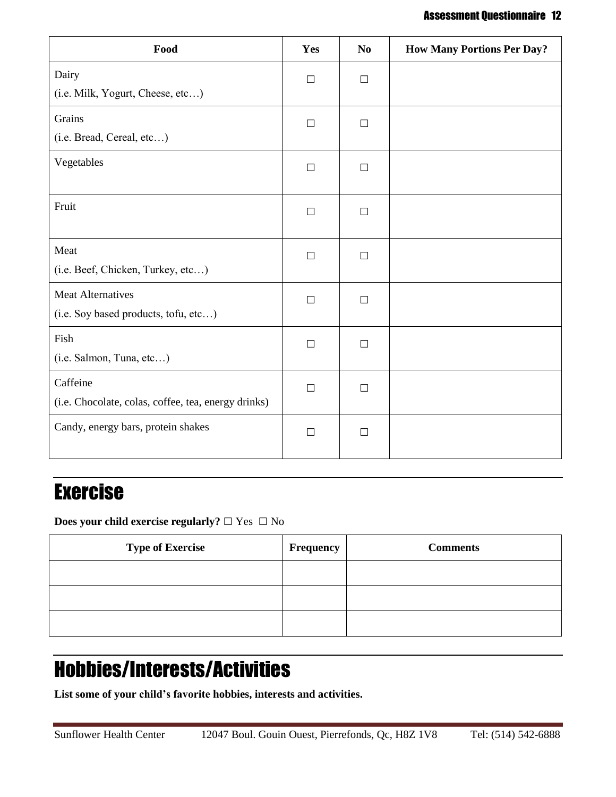#### Assessment Questionnaire 12

| Food                                                             | Yes    | N <sub>0</sub> | <b>How Many Portions Per Day?</b> |
|------------------------------------------------------------------|--------|----------------|-----------------------------------|
| Dairy<br>(i.e. Milk, Yogurt, Cheese, etc)                        | $\Box$ | $\Box$         |                                   |
| Grains<br>(i.e. Bread, Cereal, etc)                              | $\Box$ | $\Box$         |                                   |
| Vegetables                                                       | $\Box$ | $\Box$         |                                   |
| Fruit                                                            | $\Box$ | $\Box$         |                                   |
| Meat<br>(i.e. Beef, Chicken, Turkey, etc)                        | $\Box$ | $\Box$         |                                   |
| <b>Meat Alternatives</b><br>(i.e. Soy based products, tofu, etc) | $\Box$ | $\Box$         |                                   |
| Fish<br>(i.e. Salmon, Tuna, etc)                                 | $\Box$ | $\Box$         |                                   |
| Caffeine<br>(i.e. Chocolate, colas, coffee, tea, energy drinks)  | $\Box$ | $\Box$         |                                   |
| Candy, energy bars, protein shakes                               | $\Box$ | $\Box$         |                                   |

## Exercise

**Does your child exercise regularly? □** Yes **□** No

| <b>Type of Exercise</b> | Frequency | <b>Comments</b> |
|-------------------------|-----------|-----------------|
|                         |           |                 |
|                         |           |                 |
|                         |           |                 |

# Hobbies/Interests/Activities

**List some of your child's favorite hobbies, interests and activities.**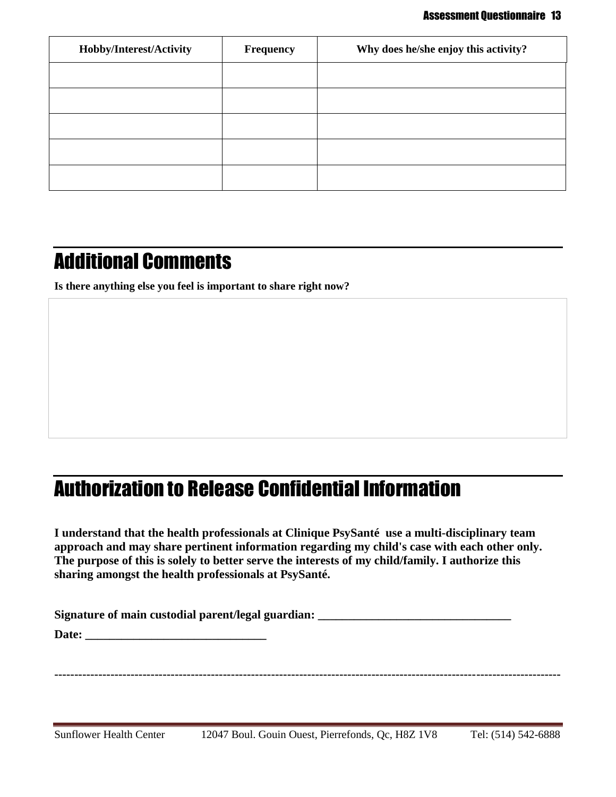| Hobby/Interest/Activity | <b>Frequency</b> | Why does he/she enjoy this activity? |
|-------------------------|------------------|--------------------------------------|
|                         |                  |                                      |
|                         |                  |                                      |
|                         |                  |                                      |
|                         |                  |                                      |
|                         |                  |                                      |

## Additional Comments

**Is there anything else you feel is important to share right now?**

## Authorization to Release Confidential Information

**I understand that the health professionals at Clinique PsySanté use a multi-disciplinary team approach and may share pertinent information regarding my child's case with each other only. The purpose of this is solely to better serve the interests of my child/family. I authorize this sharing amongst the health professionals at PsySanté.** 

**Signature** of main custodial parent/legal guardian:

**Date: \_\_\_\_\_\_\_\_\_\_\_\_\_\_\_\_\_\_\_\_\_\_\_\_\_\_\_\_\_\_**

**------------------------------------------------------------------------------------------------------------------------------**